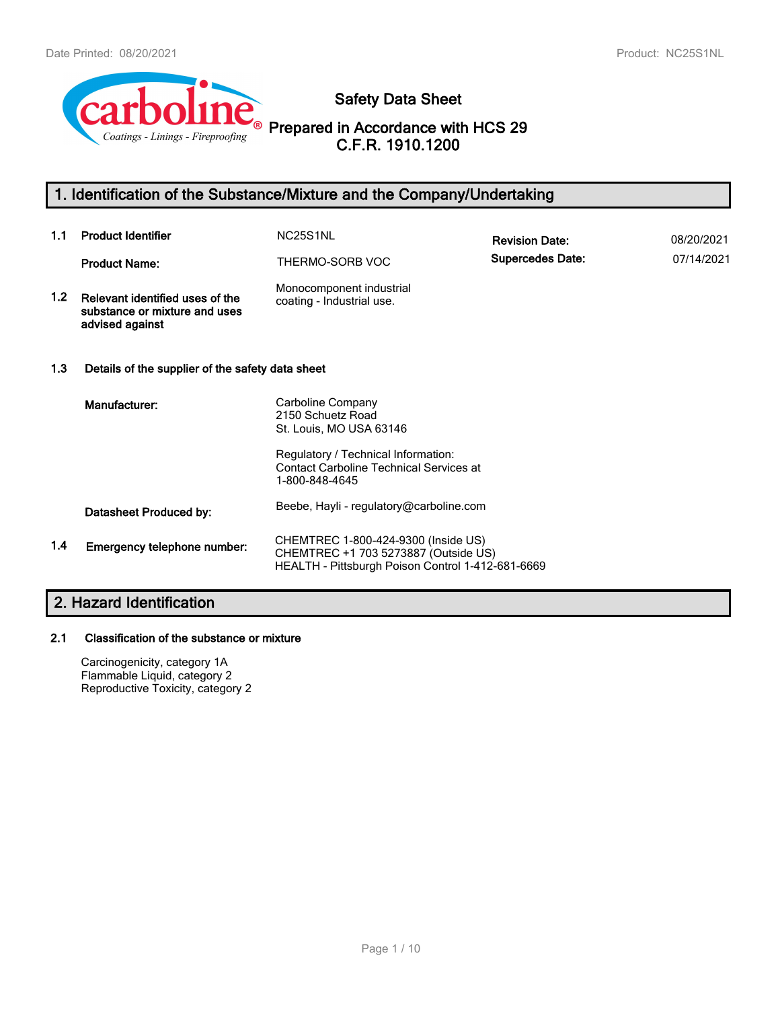

**Safety Data Sheet**

**Prepared in Accordance with HCS 29 C.F.R. 1910.1200**

# **1. Identification of the Substance/Mixture and the Company/Undertaking**

| 1.1              | <b>Product Identifier</b>                                                           | NC25S1NL                                                                                                                         | <b>Revision Date:</b>   | 08/20/2021 |
|------------------|-------------------------------------------------------------------------------------|----------------------------------------------------------------------------------------------------------------------------------|-------------------------|------------|
|                  | <b>Product Name:</b>                                                                | THERMO-SORB VOC                                                                                                                  | <b>Supercedes Date:</b> | 07/14/2021 |
| 1.2 <sub>2</sub> | Relevant identified uses of the<br>substance or mixture and uses<br>advised against | Monocomponent industrial<br>coating - Industrial use.                                                                            |                         |            |
| 1.3              | Details of the supplier of the safety data sheet                                    |                                                                                                                                  |                         |            |
|                  | Manufacturer:                                                                       | Carboline Company<br>2150 Schuetz Road<br>St. Louis, MO USA 63146                                                                |                         |            |
|                  |                                                                                     | Regulatory / Technical Information:<br><b>Contact Carboline Technical Services at</b><br>1-800-848-4645                          |                         |            |
|                  | Datasheet Produced by:                                                              | Beebe, Hayli - regulatory@carboline.com                                                                                          |                         |            |
| 1.4              | Emergency telephone number:                                                         | CHEMTREC 1-800-424-9300 (Inside US)<br>CHEMTREC +1 703 5273887 (Outside US)<br>HEALTH - Pittsburgh Poison Control 1-412-681-6669 |                         |            |

# **2. Hazard Identification**

# **2.1 Classification of the substance or mixture**

Carcinogenicity, category 1A Flammable Liquid, category 2 Reproductive Toxicity, category 2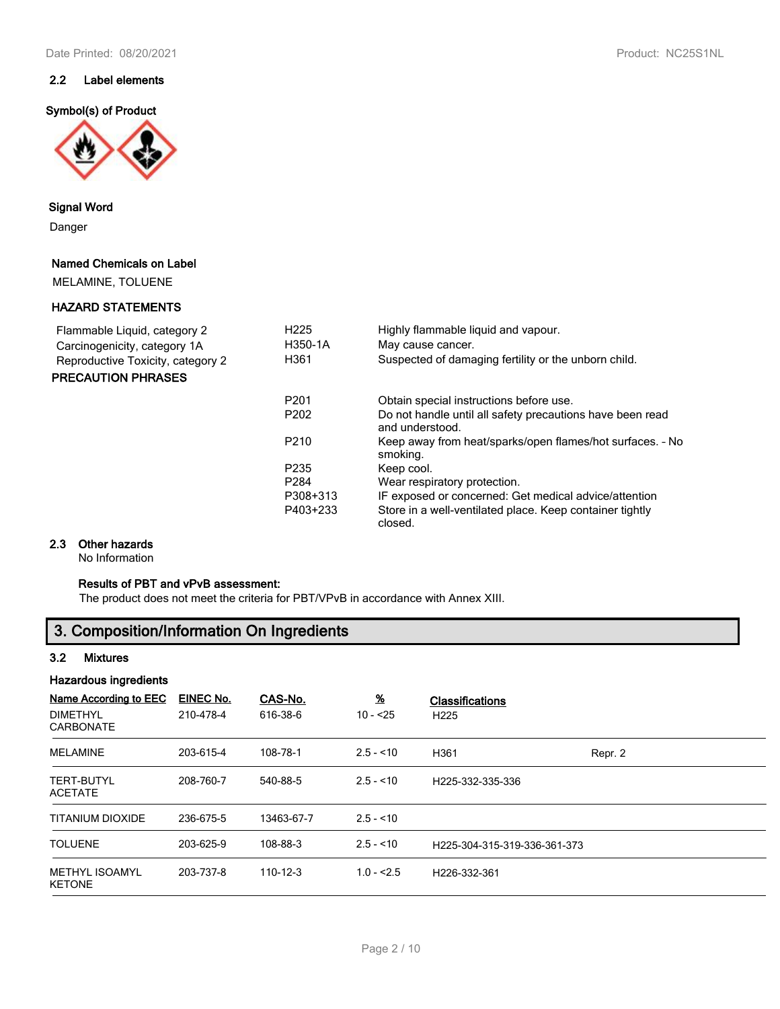# **2.2 Label elements**

#### **Symbol(s) of Product**



## **Signal Word**

Danger

#### **Named Chemicals on Label**

MELAMINE, TOLUENE

## **HAZARD STATEMENTS**

| Flammable Liquid, category 2      | H <sub>225</sub><br>H350-1A | Highly flammable liquid and vapour.<br>May cause cancer.                     |
|-----------------------------------|-----------------------------|------------------------------------------------------------------------------|
| Carcinogenicity, category 1A      | H361                        | Suspected of damaging fertility or the unborn child.                         |
| Reproductive Toxicity, category 2 |                             |                                                                              |
| <b>PRECAUTION PHRASES</b>         |                             |                                                                              |
|                                   | P <sub>201</sub>            | Obtain special instructions before use.                                      |
|                                   | P <sub>202</sub>            | Do not handle until all safety precautions have been read<br>and understood. |
|                                   | P <sub>210</sub>            | Keep away from heat/sparks/open flames/hot surfaces. - No<br>smoking.        |
|                                   | P <sub>235</sub>            | Keep cool.                                                                   |
|                                   | P <sub>284</sub>            | Wear respiratory protection.                                                 |
|                                   | P308+313                    | IF exposed or concerned: Get medical advice/attention                        |
|                                   | P403+233                    | Store in a well-ventilated place. Keep container tightly                     |

## **2.3 Other hazards**

No Information

# **Results of PBT and vPvB assessment:**

The product does not meet the criteria for PBT/VPvB in accordance with Annex XIII.

# **3. Composition/Information On Ingredients**

## **3.2 Mixtures**

#### **Hazardous ingredients**

| Name According to EEC<br><b>DIMETHYL</b><br><b>CARBONATE</b> | EINEC No.<br>210-478-4 | CAS-No.<br>616-38-6 | $\underline{\mathcal{H}}$<br>$10 - 25$ | <b>Classifications</b><br>H <sub>225</sub> |         |
|--------------------------------------------------------------|------------------------|---------------------|----------------------------------------|--------------------------------------------|---------|
| <b>MELAMINE</b>                                              | 203-615-4              | 108-78-1            | $2.5 - 10$                             | H361                                       | Repr. 2 |
| <b>TERT-BUTYL</b><br><b>ACETATE</b>                          | 208-760-7              | 540-88-5            | $2.5 - 10$                             | H225-332-335-336                           |         |
| <b>TITANIUM DIOXIDE</b>                                      | 236-675-5              | 13463-67-7          | $2.5 - 10$                             |                                            |         |
| <b>TOLUENE</b>                                               | 203-625-9              | 108-88-3            | $2.5 - 10$                             | H225-304-315-319-336-361-373               |         |
| <b>METHYL ISOAMYL</b><br><b>KETONE</b>                       | 203-737-8              | 110-12-3            | $1.0 - 2.5$                            | H226-332-361                               |         |

closed.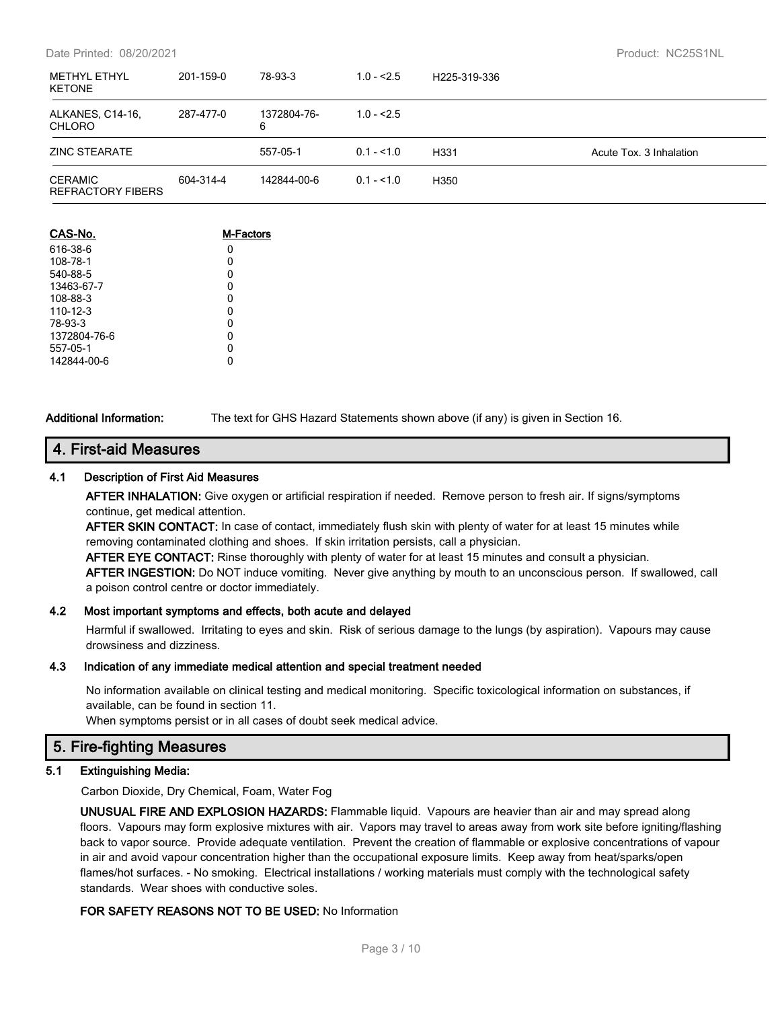#### Date Printed: 08/20/2021 Product: NC25S1NL

| <b>METHYL ETHYL</b><br><b>KETONE</b> | 201-159-0 | 78-93-3          | $1.0 - 2.5$ | H225-319-336 |                         |
|--------------------------------------|-----------|------------------|-------------|--------------|-------------------------|
| ALKANES, C14-16,<br><b>CHLORO</b>    | 287-477-0 | 1372804-76-<br>6 | $1.0 - 2.5$ |              |                         |
| ZINC STEARATE                        |           | 557-05-1         | $0.1 - 1.0$ | H331         | Acute Tox. 3 Inhalation |
| <b>CERAMIC</b><br>REFRACTORY FIBERS  | 604-314-4 | 142844-00-6      | $0.1 - 1.0$ | H350         |                         |

| CAS-No.        | <b>M-Factors</b> |
|----------------|------------------|
| 616-38-6       | 0                |
| 108-78-1       | 0                |
| 540-88-5       | 0                |
| 13463-67-7     | 0                |
| 108-88-3       | 0                |
| $110 - 12 - 3$ | 0                |
| 78-93-3        | 0                |
| 1372804-76-6   | 0                |
| 557-05-1       | 0                |
| 142844-00-6    |                  |

**Additional Information:** The text for GHS Hazard Statements shown above (if any) is given in Section 16.

## **4. First-aid Measures**

#### **4.1 Description of First Aid Measures**

**AFTER INHALATION:** Give oxygen or artificial respiration if needed. Remove person to fresh air. If signs/symptoms continue, get medical attention.

**AFTER SKIN CONTACT:** In case of contact, immediately flush skin with plenty of water for at least 15 minutes while removing contaminated clothing and shoes. If skin irritation persists, call a physician.

**AFTER EYE CONTACT:** Rinse thoroughly with plenty of water for at least 15 minutes and consult a physician. **AFTER INGESTION:** Do NOT induce vomiting. Never give anything by mouth to an unconscious person. If swallowed, call a poison control centre or doctor immediately.

#### **4.2 Most important symptoms and effects, both acute and delayed**

Harmful if swallowed. Irritating to eyes and skin. Risk of serious damage to the lungs (by aspiration). Vapours may cause drowsiness and dizziness.

#### **4.3 Indication of any immediate medical attention and special treatment needed**

No information available on clinical testing and medical monitoring. Specific toxicological information on substances, if available, can be found in section 11.

When symptoms persist or in all cases of doubt seek medical advice.

# **5. Fire-fighting Measures**

## **5.1 Extinguishing Media:**

Carbon Dioxide, Dry Chemical, Foam, Water Fog

**UNUSUAL FIRE AND EXPLOSION HAZARDS:** Flammable liquid. Vapours are heavier than air and may spread along floors. Vapours may form explosive mixtures with air. Vapors may travel to areas away from work site before igniting/flashing back to vapor source. Provide adequate ventilation. Prevent the creation of flammable or explosive concentrations of vapour in air and avoid vapour concentration higher than the occupational exposure limits. Keep away from heat/sparks/open flames/hot surfaces. - No smoking. Electrical installations / working materials must comply with the technological safety standards. Wear shoes with conductive soles.

# **FOR SAFETY REASONS NOT TO BE USED:** No Information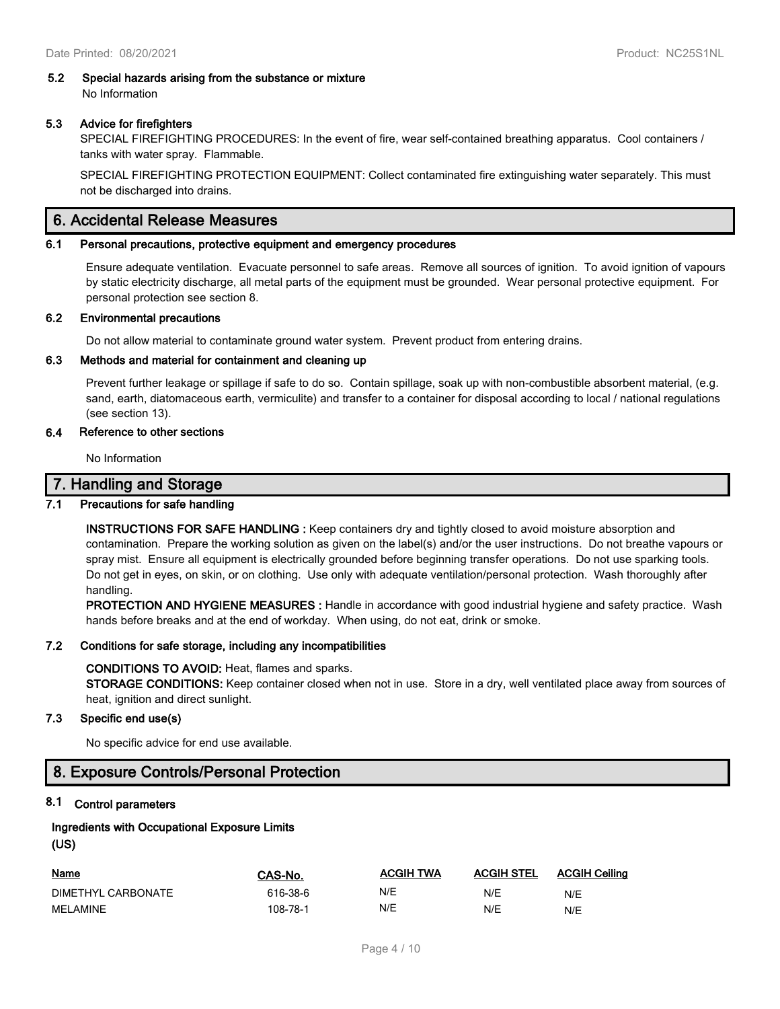#### **5.2 Special hazards arising from the substance or mixture** No Information

## **5.3 Advice for firefighters**

SPECIAL FIREFIGHTING PROCEDURES: In the event of fire, wear self-contained breathing apparatus. Cool containers / tanks with water spray. Flammable.

SPECIAL FIREFIGHTING PROTECTION EQUIPMENT: Collect contaminated fire extinguishing water separately. This must not be discharged into drains.

# **6. Accidental Release Measures**

#### **6.1 Personal precautions, protective equipment and emergency procedures**

Ensure adequate ventilation. Evacuate personnel to safe areas. Remove all sources of ignition. To avoid ignition of vapours by static electricity discharge, all metal parts of the equipment must be grounded. Wear personal protective equipment. For personal protection see section 8.

#### **6.2 Environmental precautions**

Do not allow material to contaminate ground water system. Prevent product from entering drains.

#### **6.3 Methods and material for containment and cleaning up**

Prevent further leakage or spillage if safe to do so. Contain spillage, soak up with non-combustible absorbent material, (e.g. sand, earth, diatomaceous earth, vermiculite) and transfer to a container for disposal according to local / national regulations (see section 13).

#### **6.4 Reference to other sections**

No Information

# **7. Handling and Storage**

## **7.1 Precautions for safe handling**

**INSTRUCTIONS FOR SAFE HANDLING :** Keep containers dry and tightly closed to avoid moisture absorption and contamination. Prepare the working solution as given on the label(s) and/or the user instructions. Do not breathe vapours or spray mist. Ensure all equipment is electrically grounded before beginning transfer operations. Do not use sparking tools. Do not get in eyes, on skin, or on clothing. Use only with adequate ventilation/personal protection. Wash thoroughly after handling.

**PROTECTION AND HYGIENE MEASURES :** Handle in accordance with good industrial hygiene and safety practice. Wash hands before breaks and at the end of workday. When using, do not eat, drink or smoke.

#### **7.2 Conditions for safe storage, including any incompatibilities**

#### **CONDITIONS TO AVOID:** Heat, flames and sparks.

**STORAGE CONDITIONS:** Keep container closed when not in use. Store in a dry, well ventilated place away from sources of heat, ignition and direct sunlight.

#### **7.3 Specific end use(s)**

No specific advice for end use available.

# **8. Exposure Controls/Personal Protection**

#### **8.1 Control parameters**

# **Ingredients with Occupational Exposure Limits**

## **(US)**

| Name               | CAS-No.  | <b>ACGIH TWA</b> | <b>ACGIH STEL</b> | <b>ACGIH Ceiling</b> |
|--------------------|----------|------------------|-------------------|----------------------|
| DIMETHYL CARBONATE | 616-38-6 | N/E              | N/E               | N/E                  |
| MELAMINE           | 108-78-1 | N/E              | N/E               | N/E                  |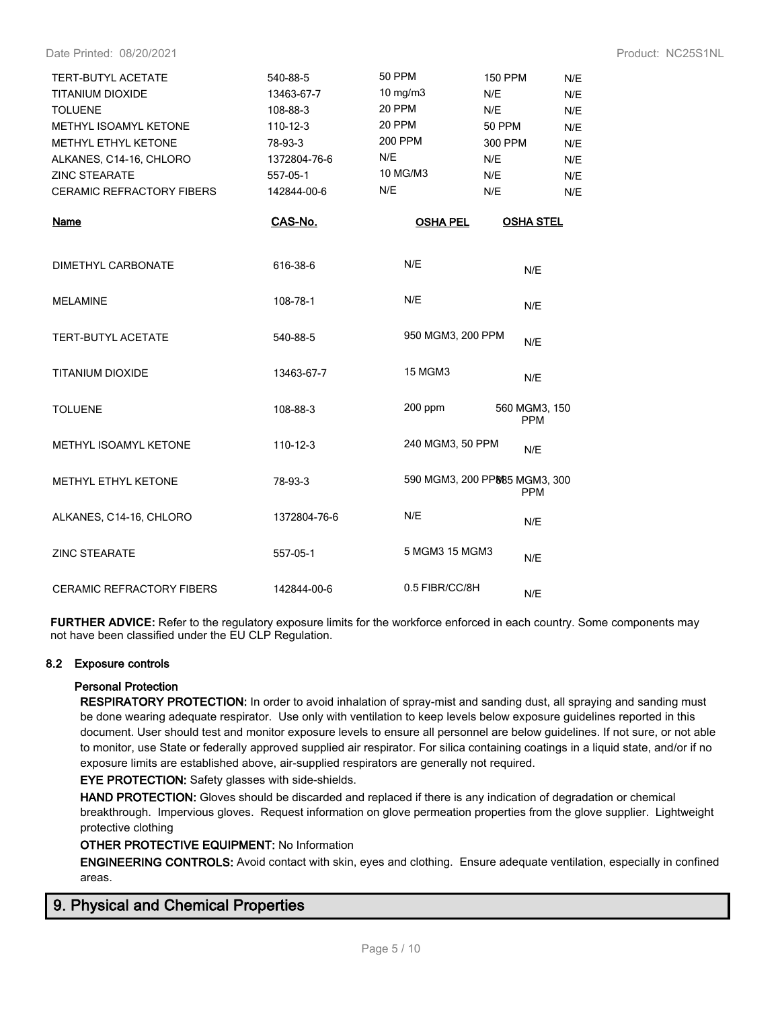Date Printed: 08/20/2021 **Product: NC25S1NL** 

| <b>TERT-BUTYL ACETATE</b><br><b>TITANIUM DIOXIDE</b><br><b>TOLUENE</b><br>METHYL ISOAMYL KETONE<br><b>METHYL ETHYL KETONE</b><br>ALKANES, C14-16, CHLORO<br><b>ZINC STEARATE</b><br><b>CERAMIC REFRACTORY FIBERS</b> | 540-88-5<br>13463-67-7<br>108-88-3<br>$110 - 12 - 3$<br>78-93-3<br>1372804-76-6<br>557-05-1<br>142844-00-6 | <b>50 PPM</b><br>10 mg/m $3$<br>20 PPM<br>20 PPM<br>200 PPM<br>N/E<br>10 MG/M3<br>N/E | <b>150 PPM</b><br>N/E<br>N/E<br><b>50 PPM</b><br>300 PPM<br>N/E<br>N/E<br>N/E | N/E<br>N/E<br>N/E<br>N/E<br>N/E<br>N/E<br>N/E<br>N/E |
|----------------------------------------------------------------------------------------------------------------------------------------------------------------------------------------------------------------------|------------------------------------------------------------------------------------------------------------|---------------------------------------------------------------------------------------|-------------------------------------------------------------------------------|------------------------------------------------------|
| Name                                                                                                                                                                                                                 | CAS-No.                                                                                                    | <b>OSHA PEL</b>                                                                       | <b>OSHA STEL</b>                                                              |                                                      |
| <b>DIMETHYL CARBONATE</b>                                                                                                                                                                                            | 616-38-6                                                                                                   | N/E                                                                                   | N/E                                                                           |                                                      |
| <b>MELAMINE</b>                                                                                                                                                                                                      | 108-78-1                                                                                                   | N/E                                                                                   | N/E                                                                           |                                                      |
| <b>TERT-BUTYL ACETATE</b>                                                                                                                                                                                            | 540-88-5                                                                                                   | 950 MGM3, 200 PPM                                                                     | N/E                                                                           |                                                      |
| <b>TITANIUM DIOXIDE</b>                                                                                                                                                                                              | 13463-67-7                                                                                                 | <b>15 MGM3</b>                                                                        | N/E                                                                           |                                                      |
| <b>TOLUENE</b>                                                                                                                                                                                                       | 108-88-3                                                                                                   | $200$ ppm                                                                             | 560 MGM3, 150<br><b>PPM</b>                                                   |                                                      |
| <b>METHYL ISOAMYL KETONE</b>                                                                                                                                                                                         | 110-12-3                                                                                                   | 240 MGM3, 50 PPM                                                                      | N/E                                                                           |                                                      |
| METHYL ETHYL KETONE                                                                                                                                                                                                  | 78-93-3                                                                                                    |                                                                                       | 590 MGM3, 200 PP885 MGM3, 300<br><b>PPM</b>                                   |                                                      |
| ALKANES, C14-16, CHLORO                                                                                                                                                                                              | 1372804-76-6                                                                                               | N/E                                                                                   | N/E                                                                           |                                                      |
| <b>ZINC STEARATE</b>                                                                                                                                                                                                 | 557-05-1                                                                                                   | 5 MGM3 15 MGM3                                                                        | N/E                                                                           |                                                      |
| <b>CERAMIC REFRACTORY FIBERS</b>                                                                                                                                                                                     | 142844-00-6                                                                                                | 0.5 FIBR/CC/8H                                                                        | N/E                                                                           |                                                      |

**FURTHER ADVICE:** Refer to the regulatory exposure limits for the workforce enforced in each country. Some components may not have been classified under the EU CLP Regulation.

## **8.2 Exposure controls**

#### **Personal Protection**

**RESPIRATORY PROTECTION:** In order to avoid inhalation of spray-mist and sanding dust, all spraying and sanding must be done wearing adequate respirator. Use only with ventilation to keep levels below exposure guidelines reported in this document. User should test and monitor exposure levels to ensure all personnel are below guidelines. If not sure, or not able to monitor, use State or federally approved supplied air respirator. For silica containing coatings in a liquid state, and/or if no exposure limits are established above, air-supplied respirators are generally not required.

**EYE PROTECTION:** Safety glasses with side-shields.

**HAND PROTECTION:** Gloves should be discarded and replaced if there is any indication of degradation or chemical breakthrough. Impervious gloves. Request information on glove permeation properties from the glove supplier. Lightweight protective clothing

## **OTHER PROTECTIVE EQUIPMENT:** No Information

**ENGINEERING CONTROLS:** Avoid contact with skin, eyes and clothing. Ensure adequate ventilation, especially in confined areas.

# **9. Physical and Chemical Properties**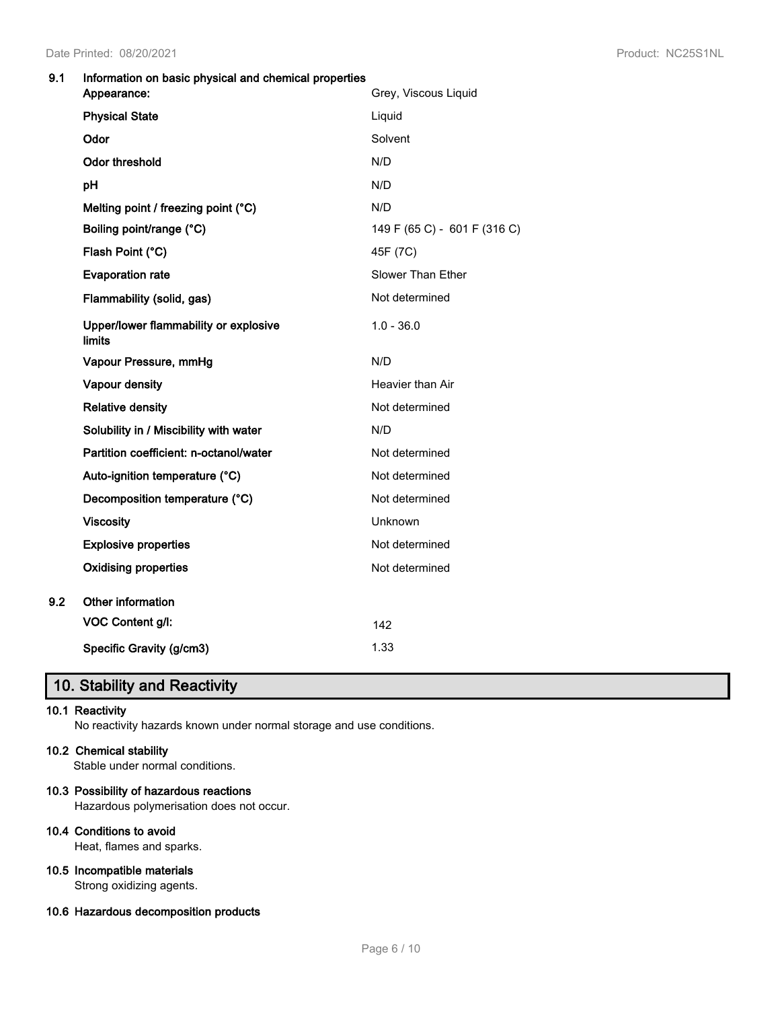## **9.1 Information on basic physical and chemical properties**

|     | Appearance:                                     | Grey, Viscous Liquid         |
|-----|-------------------------------------------------|------------------------------|
|     | <b>Physical State</b>                           | Liquid                       |
|     | Odor                                            | Solvent                      |
|     | Odor threshold                                  | N/D                          |
|     | pH                                              | N/D                          |
|     | Melting point / freezing point (°C)             | N/D                          |
|     | Boiling point/range (°C)                        | 149 F (65 C) - 601 F (316 C) |
|     | Flash Point (°C)                                | 45F (7C)                     |
|     | <b>Evaporation rate</b>                         | Slower Than Ether            |
|     | Flammability (solid, gas)                       | Not determined               |
|     | Upper/lower flammability or explosive<br>limits | $1.0 - 36.0$                 |
|     | Vapour Pressure, mmHg                           | N/D                          |
|     | Vapour density                                  | Heavier than Air             |
|     | <b>Relative density</b>                         | Not determined               |
|     | Solubility in / Miscibility with water          | N/D                          |
|     | Partition coefficient: n-octanol/water          | Not determined               |
|     | Auto-ignition temperature (°C)                  | Not determined               |
|     | Decomposition temperature (°C)                  | Not determined               |
|     | <b>Viscosity</b>                                | Unknown                      |
|     | <b>Explosive properties</b>                     | Not determined               |
|     | <b>Oxidising properties</b>                     | Not determined               |
| 9.2 | Other information                               |                              |
|     | VOC Content g/l:                                | 142                          |
|     | Specific Gravity (g/cm3)                        | 1.33                         |

# **10. Stability and Reactivity**

## **10.1 Reactivity**

No reactivity hazards known under normal storage and use conditions.

## **10.2 Chemical stability**

Stable under normal conditions.

## **10.3 Possibility of hazardous reactions**

Hazardous polymerisation does not occur.

#### **10.4 Conditions to avoid**

Heat, flames and sparks.

# **10.5 Incompatible materials**

Strong oxidizing agents.

# **10.6 Hazardous decomposition products**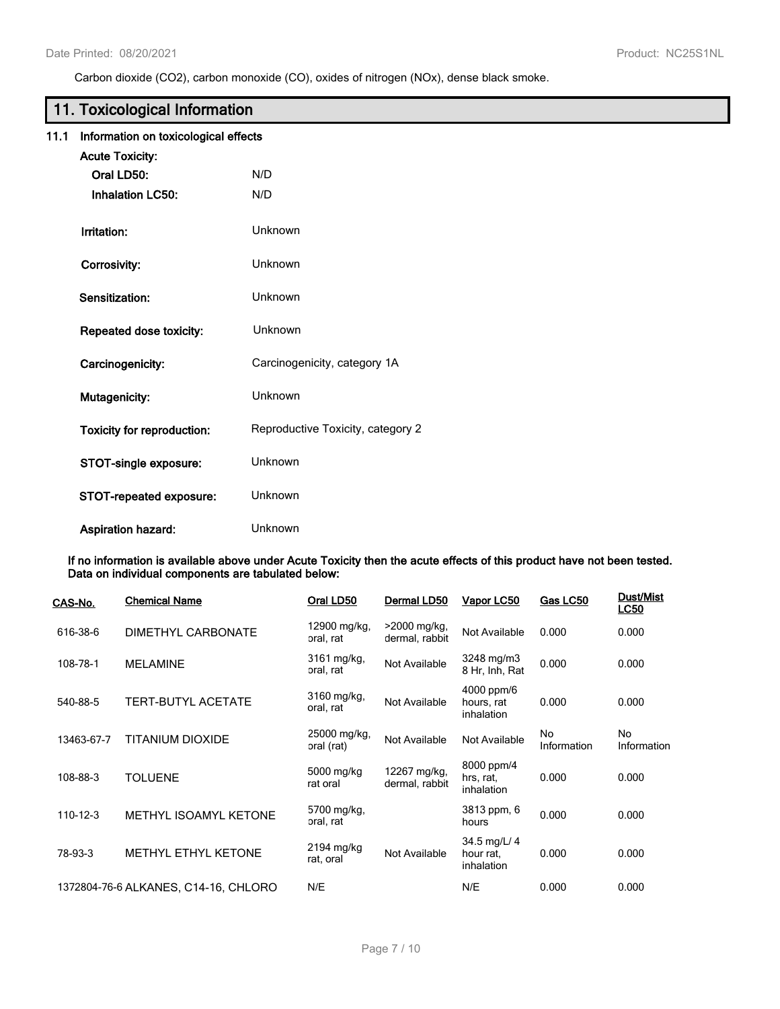Carbon dioxide (CO2), carbon monoxide (CO), oxides of nitrogen (NOx), dense black smoke.

# **11. Toxicological Information**

|  |  |  | 11.1 Information on toxicological effects |  |
|--|--|--|-------------------------------------------|--|
|--|--|--|-------------------------------------------|--|

| <b>Acute Toxicity:</b>            |                                   |
|-----------------------------------|-----------------------------------|
| Oral LD50:                        | N/D                               |
| <b>Inhalation LC50:</b>           | N/D                               |
| Irritation:                       | Unknown                           |
| Corrosivity:                      | Unknown                           |
| Sensitization:                    | Unknown                           |
| Repeated dose toxicity:           | Unknown                           |
| Carcinogenicity:                  | Carcinogenicity, category 1A      |
| Mutagenicity:                     | Unknown                           |
| <b>Toxicity for reproduction:</b> | Reproductive Toxicity, category 2 |
| STOT-single exposure:             | Unknown                           |
| STOT-repeated exposure:           | Unknown                           |
| <b>Aspiration hazard:</b>         | Unknown                           |

**If no information is available above under Acute Toxicity then the acute effects of this product have not been tested. Data on individual components are tabulated below:**

| <u>CAS-No.</u> | <b>Chemical Name</b>                 | Oral LD50                  | Dermal LD50                    | Vapor LC50                              | Gas LC50          | <b>Dust/Mist</b><br><b>LC50</b> |
|----------------|--------------------------------------|----------------------------|--------------------------------|-----------------------------------------|-------------------|---------------------------------|
| 616-38-6       | DIMETHYL CARBONATE                   | 12900 mg/kg,<br>oral, rat  | >2000 mg/kg,<br>dermal, rabbit | Not Available                           | 0.000             | 0.000                           |
| 108-78-1       | <b>MELAMINE</b>                      | 3161 mg/kg,<br>oral, rat   | Not Available                  | $3248$ mg/m $3$<br>8 Hr, Inh, Rat       | 0.000             | 0.000                           |
| 540-88-5       | <b>TERT-BUTYL ACETATE</b>            | 3160 mg/kg,<br>oral, rat   | Not Available                  | 4000 ppm/6<br>hours, rat<br>inhalation  | 0.000             | 0.000                           |
| 13463-67-7     | TITANIUM DIOXIDE                     | 25000 mg/kg,<br>oral (rat) | Not Available                  | Not Available                           | No<br>Information | No<br>Information               |
| 108-88-3       | <b>TOLUENE</b>                       | 5000 mg/kg<br>rat oral     | 12267 mg/kg,<br>dermal, rabbit | 8000 ppm/4<br>hrs, rat,<br>inhalation   | 0.000             | 0.000                           |
| 110-12-3       | <b>METHYL ISOAMYL KETONE</b>         | 5700 mg/kg,<br>oral, rat   |                                | 3813 ppm, 6<br>hours                    | 0.000             | 0.000                           |
| 78-93-3        | METHYL ETHYL KETONE                  | 2194 mg/kg<br>rat, oral    | Not Available                  | 34.5 mg/L/ 4<br>hour rat.<br>inhalation | 0.000             | 0.000                           |
|                | 1372804-76-6 ALKANES, C14-16, CHLORO | N/E                        |                                | N/E                                     | 0.000             | 0.000                           |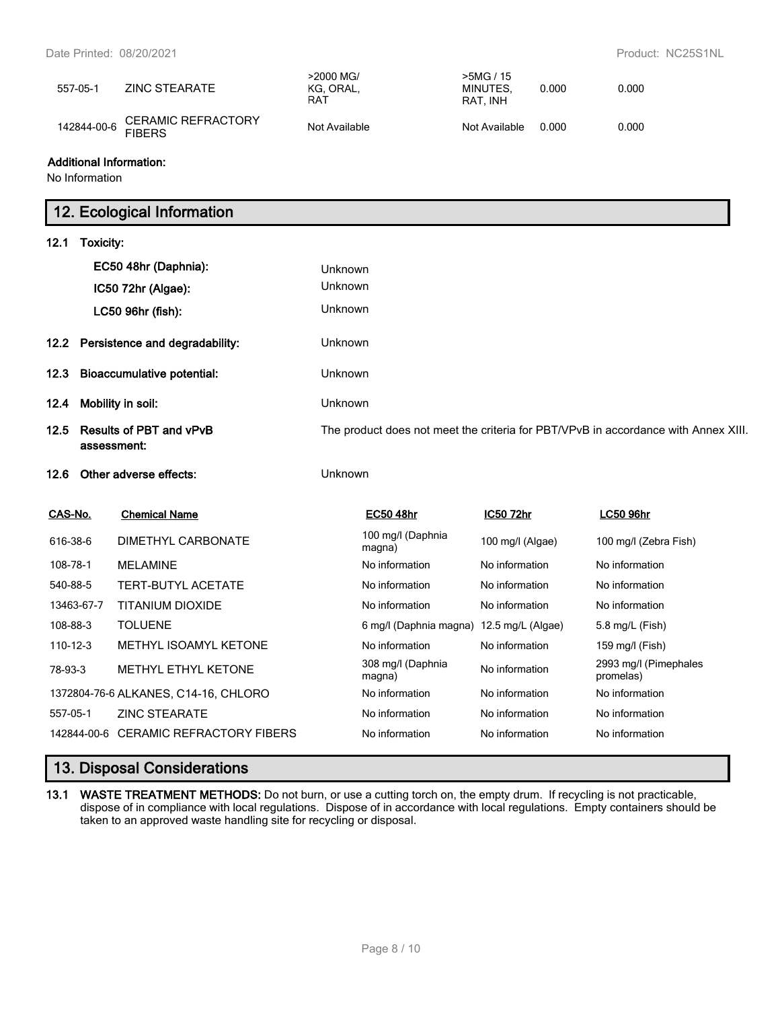| 557-05-1    | ZINC STEARATE                              | >2000 MG/<br>KG. ORAL.<br>RAT | >5MG / 15<br>MINUTES.<br>RAT. INH | 0.000 | 0.000 |
|-------------|--------------------------------------------|-------------------------------|-----------------------------------|-------|-------|
| 142844-00-6 | <b>CERAMIC REFRACTORY</b><br><b>FIBERS</b> | Not Available                 | Not Available                     | 0.000 | 0.000 |

#### **Additional Information:**

No Information

# **12. Ecological Information**

| 12.1                                                  | Toxicity: |                                                                                    |                |                             |                   |                                    |
|-------------------------------------------------------|-----------|------------------------------------------------------------------------------------|----------------|-----------------------------|-------------------|------------------------------------|
|                                                       |           | EC50 48hr (Daphnia):                                                               | Unknown        |                             |                   |                                    |
|                                                       |           | IC50 72hr (Algae):                                                                 | Unknown        |                             |                   |                                    |
|                                                       |           | LC50 96hr (fish):                                                                  | Unknown        |                             |                   |                                    |
| Persistence and degradability:<br>12.2 <sub>2</sub>   |           | Unknown                                                                            |                |                             |                   |                                    |
| <b>Bioaccumulative potential:</b><br>12.3             |           | Unknown                                                                            |                |                             |                   |                                    |
| Mobility in soil:<br>12.4                             |           | Unknown                                                                            |                |                             |                   |                                    |
| <b>Results of PBT and vPvB</b><br>12.5<br>assessment: |           | The product does not meet the criteria for PBT/VPvB in accordance with Annex XIII. |                |                             |                   |                                    |
| 12.6                                                  |           | Other adverse effects:                                                             | Unknown        |                             |                   |                                    |
| CAS-No.                                               |           | <b>Chemical Name</b>                                                               |                | <b>EC50 48hr</b>            | IC50 72hr         | <b>LC50 96hr</b>                   |
| 616-38-6                                              |           | DIMETHYL CARBONATE                                                                 |                | 100 mg/l (Daphnia<br>magna) | 100 mg/l (Algae)  | 100 mg/l (Zebra Fish)              |
| 108-78-1                                              |           | <b>MELAMINE</b>                                                                    |                | No information              | No information    | No information                     |
| 540-88-5                                              |           | <b>TERT-BUTYL ACETATE</b>                                                          |                | No information              | No information    | No information                     |
| 13463-67-7                                            |           | <b>TITANIUM DIOXIDE</b>                                                            |                | No information              | No information    | No information                     |
| 108-88-3                                              |           | <b>TOLUENE</b>                                                                     |                | 6 mg/l (Daphnia magna)      | 12.5 mg/L (Algae) | 5.8 mg/L (Fish)                    |
| 110-12-3                                              |           | METHYL ISOAMYL KETONE                                                              |                | No information              | No information    | 159 mg/l (Fish)                    |
| 78-93-3                                               |           | <b>METHYL ETHYL KETONE</b>                                                         |                | 308 mg/l (Daphnia<br>magna) | No information    | 2993 mg/l (Pimephales<br>promelas) |
| 1372804-76-6 ALKANES, C14-16, CHLORO                  |           |                                                                                    | No information | No information              | No information    |                                    |
| 557-05-1                                              |           | <b>ZINC STEARATE</b>                                                               |                | No information              | No information    | No information                     |
|                                                       |           |                                                                                    |                |                             |                   |                                    |

# **13. Disposal Considerations**

**13.1 WASTE TREATMENT METHODS:** Do not burn, or use a cutting torch on, the empty drum. If recycling is not practicable, dispose of in compliance with local regulations. Dispose of in accordance with local regulations. Empty containers should be taken to an approved waste handling site for recycling or disposal.

142844-00-6 CERAMIC REFRACTORY FIBERS No information No information No information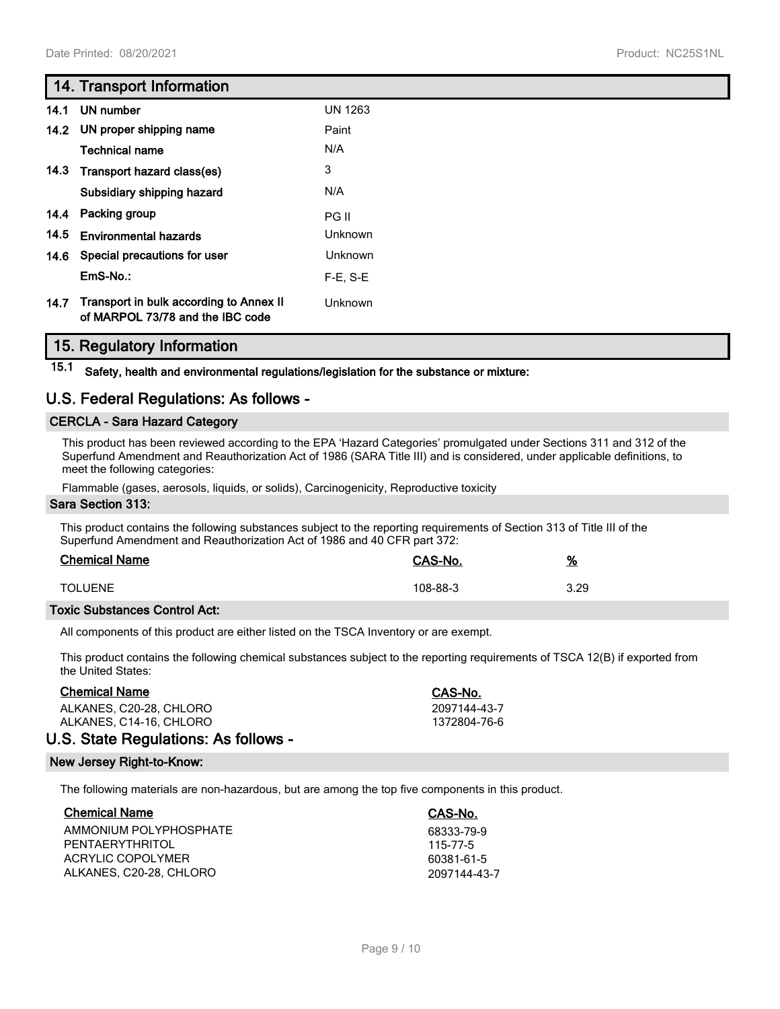# **14. Transport Information**

| 14.1 | UN number                                                                   | <b>UN 1263</b> |
|------|-----------------------------------------------------------------------------|----------------|
|      | 14.2 UN proper shipping name                                                | Paint          |
|      | <b>Technical name</b>                                                       | N/A            |
|      | 14.3 Transport hazard class(es)                                             | 3              |
|      | Subsidiary shipping hazard                                                  | N/A            |
|      | 14.4 Packing group                                                          | PG II          |
| 14.5 | <b>Environmental hazards</b>                                                | <b>Unknown</b> |
|      | 14.6 Special precautions for user                                           | <b>Unknown</b> |
|      | EmS-No.:                                                                    | $F-E. S-E$     |
| 14.7 | Transport in bulk according to Annex II<br>of MARPOL 73/78 and the IBC code | Unknown        |

# **15. Regulatory Information**

**15.1 Safety, health and environmental regulations/legislation for the substance or mixture:**

# **U.S. Federal Regulations: As follows -**

## **CERCLA - Sara Hazard Category**

This product has been reviewed according to the EPA 'Hazard Categories' promulgated under Sections 311 and 312 of the Superfund Amendment and Reauthorization Act of 1986 (SARA Title III) and is considered, under applicable definitions, to meet the following categories:

Flammable (gases, aerosols, liquids, or solids), Carcinogenicity, Reproductive toxicity

#### **Sara Section 313:**

This product contains the following substances subject to the reporting requirements of Section 313 of Title III of the Superfund Amendment and Reauthorization Act of 1986 and 40 CFR part 372:

| <b>Chemical Name</b> | CAS-No.  | <u>%</u> |
|----------------------|----------|----------|
| <b>TOLUENE</b>       | 108-88-3 | 3.29     |

## **Toxic Substances Control Act:**

All components of this product are either listed on the TSCA Inventory or are exempt.

This product contains the following chemical substances subject to the reporting requirements of TSCA 12(B) if exported from the United States:

#### **Chemical Name CAS-No.**

ALKANES, C20-28, CHLORO 2097144-43-7<br>ALKANES, C14-16, CHLORO 2007 2097144-43-7 ALKANES, C14-16, CHLORO

# **U.S. State Regulations: As follows -**

#### **New Jersey Right-to-Know:**

The following materials are non-hazardous, but are among the top five components in this product.

| <b>Chemical Name</b>    | CAS-No.      |
|-------------------------|--------------|
| AMMONIUM POLYPHOSPHATE  | 68333-79-9   |
| PENTAFRYTHRITOI         | 115-77-5     |
| ACRYLIC COPOLYMER       | 60381-61-5   |
| ALKANES, C20-28, CHLORO | 2097144-43-7 |